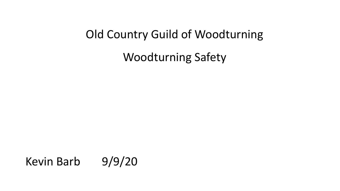### Old Country Guild of Woodturning

Woodturning Safety

Kevin Barb 9/9/20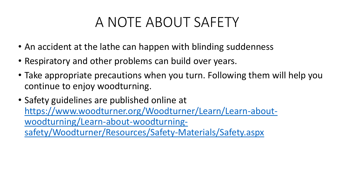## A NOTE ABOUT SAFETY

- An accident at the lathe can happen with blinding suddenness
- Respiratory and other problems can build over years.
- Take appropriate precautions when you turn. Following them will help you continue to enjoy woodturning.
- Safety guidelines are published online at [https://www.woodturner.org/Woodturner/Learn/Learn-about](https://www.woodturner.org/Woodturner/Learn/Learn-about-woodturning/Learn-about-woodturning-safety/Woodturner/Resources/Safety-Materials/Safety.aspx)woodturning/Learn-about-woodturningsafety/Woodturner/Resources/Safety-Materials/Safety.aspx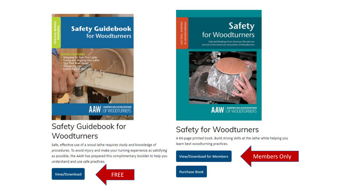

### **Safety Guidebook for** Woodturners

Safe, effective use of a wood lathe requires study and knowledge of procedures. To avoid injury and make your turning experience as satisfying as possible, the AAW has prepared this complimentary booklet to help you understand and use safe practices.



### **Safety** for Woodturners

Selected Readings from American Woodturner, Journal of the American Association of Woodturners

GETTING !<br>IN WOODT



AAW OF WOODTURNERS

### **Safety for Woodturners**

A 64-page printed book. Build strong skills at the lathe while helping you learn best woodturning practices.

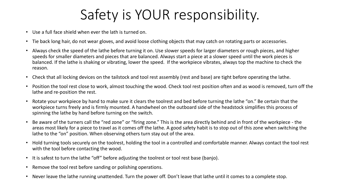# Safety is YOUR responsibility.

- Use a full face shield when ever the lath is turned on.
- Tie back long hair, do not wear gloves, and avoid loose clothing objects that may catch on rotating parts or accessories.
- Always check the speed of the lathe before turning it on. Use slower speeds for larger diameters or rough pieces, and higher speeds for smaller diameters and pieces that are balanced. Always start a piece at a slower speed until the work pieces is balanced. If the lathe is shaking or vibrating, lower the speed. If the workpiece vibrates, always top the machine to check the reason.
- Check that all locking devices on the tailstock and tool rest assembly (rest and base) are tight before operating the lathe.
- Position the tool rest close to work, almost touching the wood. Check tool rest position often and as wood is removed, turn off the lathe and re-position the rest.
- Rotate your workpiece by hand to make sure it clears the toolrest and bed before turning the lathe "on." Be certain that the workpiece turns freely and is firmly mounted. A handwheel on the outboard side of the headstock simplifies this process of spinning the lathe by hand before turning on the switch.
- Be aware of the turners call the "red zone" or "firing zone." This is the area directly behind and in front of the workpiece the areas most likely for a piece to travel as it comes off the lathe. A good safety habit is to stop out of this zone when switching the lathe to the "on" position. When observing others turn stay out of the area.
- Hold turning tools securely on the toolrest, holding the tool in a controlled and comfortable manner. Always contact the tool rest with the tool before contacting the wood.
- It is safest to turn the lathe "off" before adjusting the toolrest or tool rest base (banjo).
- Remove the tool rest before sanding or polishing operations.
- Never leave the lathe running unattended. Turn the power off. Don't leave that lathe until it comes to a complete stop.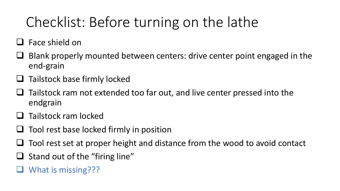# Checklist: Before turning on the lathe

- $\Box$  Face shield on
- Blank properly mounted between centers: drive center point engaged in the end-grain
- Tailstock base firmly locked
- Tailstock ram not extended too far out, and live center pressed into the endgrain
- Tailstock ram locked
- $\Box$  Tool rest base locked firmly in position
- Tool rest set at proper height and distance from the wood to avoid contact
- $\Box$  Stand out of the "firing line"
- What is missing???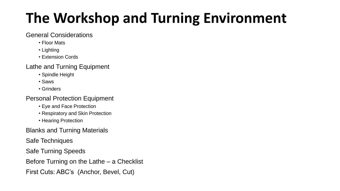# **The Workshop and Turning Environment**

#### General Considerations

- Floor Mats
- Lighting
- Extension Cords

#### Lathe and Turning Equipment

- Spindle Height
- Saws
- Grinders

#### Personal Protection Equipment

- Eye and Face Protection
- Respiratory and Skin Protection
- Hearing Protection

Blanks and Turning Materials

Safe Techniques

Safe Turning Speeds

Before Turning on the Lathe – a Checklist

First Cuts: ABC's (Anchor, Bevel, Cut)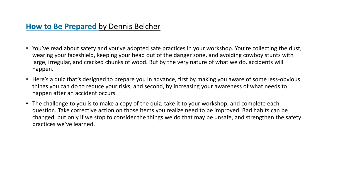- You've read about safety and you've adopted safe practices in your workshop. You're collecting the dust, wearing your faceshield, keeping your head out of the danger zone, and avoiding cowboy stunts with large, irregular, and cracked chunks of wood. But by the very nature of what we do, accidents will happen.
- Here's a quiz that's designed to prepare you in advance, first by making you aware of some less-obvious things you can do to reduce your risks, and second, by increasing your awareness of what needs to happen after an accident occurs.
- The challenge to you is to make a copy of the quiz, take it to your workshop, and complete each question. Take corrective action on those items you realize need to be improved. Bad habits can be changed, but only if we stop to consider the things we do that may be unsafe, and strengthen the safety practices we've learned.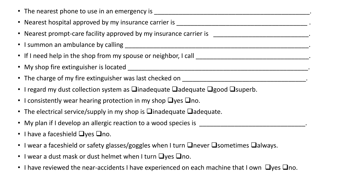- The nearest phone to use in an emergency is \_\_\_\_\_\_\_\_\_\_\_\_\_\_\_\_\_\_\_\_\_\_\_\_\_\_\_\_\_\_\_\_\_\_\_\_\_\_\_\_\_\_\_\_. • Nearest hospital approved by my insurance carrier is \_\_\_\_\_\_\_\_\_\_\_\_\_\_\_\_\_\_\_\_\_\_\_\_\_\_\_\_\_\_\_\_\_\_\_\_\_ . • Nearest prompt-care facility approved by my insurance carrier is \_\_\_\_\_\_\_\_\_\_\_\_\_\_\_\_\_\_\_\_\_\_\_\_\_\_\_\_\_\_\_. • I summon an ambulance by calling \_\_\_\_\_\_\_\_\_\_\_\_\_\_\_\_\_\_\_\_\_\_\_\_\_\_\_\_\_\_\_\_\_\_\_\_\_\_\_\_\_\_\_\_\_\_\_\_\_\_\_\_. • If I need help in the shop from my spouse or neighbor, I call \_\_\_\_\_\_\_\_\_\_\_\_\_\_\_\_\_\_\_\_\_\_\_\_\_\_\_\_\_\_\_\_. • My shop fire extinguisher is located \_\_\_\_\_\_\_\_\_\_\_\_\_\_\_\_\_\_\_\_\_\_\_\_\_\_\_\_\_\_\_\_\_\_\_\_\_\_\_\_\_\_\_\_\_\_\_\_\_\_\_. • The charge of my fire extinguisher was last checked on \_\_\_\_\_\_\_\_\_\_\_\_\_\_\_\_\_\_\_\_\_\_\_\_\_\_\_\_\_\_\_\_\_\_\_. • I regard my dust collection system as  $\Box$ inadequate  $\Box$ adequate  $\Box$ good  $\Box$ superb.
- I consistently wear hearing protection in my shop  $\Box$ yes  $\Box$ no.
- The electrical service/supply in my shop is  $\Box$ inadequate  $\Box$ adequate.
- My plan if I develop an allergic reaction to a wood species is \_\_\_\_\_\_\_\_\_\_\_\_\_\_\_\_\_\_\_\_\_\_\_\_\_\_\_\_\_\_.
- I have a faceshield  $\Box$ yes  $\Box$ no.
- I wear a faceshield or safety glasses/goggles when I turn  $\Box$ never  $\Box$ sometimes  $\Box$ always.
- I wear a dust mask or dust helmet when I turn  $\Box$ yes  $\Box$ no.
- I have reviewed the near-accidents I have experienced on each machine that I own  $\Box$ yes  $\Box$ no.